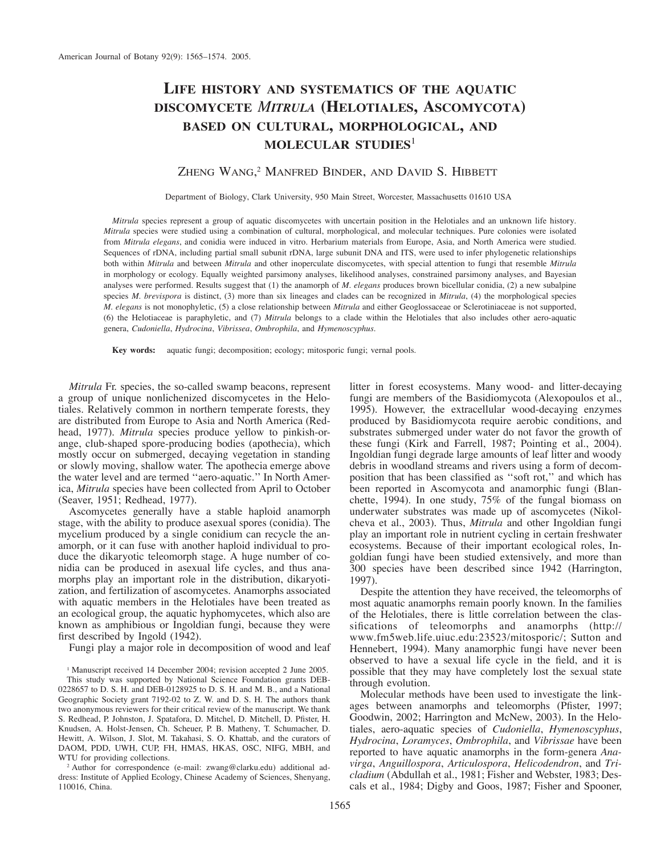# **LIFE HISTORY AND SYSTEMATICS OF THE AQUATIC DISCOMYCETE** *MITRULA* **(HELOTIALES, ASCOMYCOTA) BASED ON CULTURAL, MORPHOLOGICAL, AND MOLECULAR STUDIES**<sup>1</sup>

# ZHENG WANG, <sup>2</sup> MANFRED BINDER, AND DAVID S. HIBBETT

#### Department of Biology, Clark University, 950 Main Street, Worcester, Massachusetts 01610 USA

*Mitrula* species represent a group of aquatic discomycetes with uncertain position in the Helotiales and an unknown life history. *Mitrula* species were studied using a combination of cultural, morphological, and molecular techniques. Pure colonies were isolated from *Mitrula elegans*, and conidia were induced in vitro. Herbarium materials from Europe, Asia, and North America were studied. Sequences of rDNA, including partial small subunit rDNA, large subunit DNA and ITS, were used to infer phylogenetic relationships both within *Mitrula* and between *Mitrula* and other inoperculate discomycetes, with special attention to fungi that resemble *Mitrula* in morphology or ecology. Equally weighted parsimony analyses, likelihood analyses, constrained parsimony analyses, and Bayesian analyses were performed. Results suggest that (1) the anamorph of *M. elegans* produces brown bicellular conidia, (2) a new subalpine species *M. brevispora* is distinct, (3) more than six lineages and clades can be recognized in *Mitrula*, (4) the morphological species *M. elegans* is not monophyletic, (5) a close relationship between *Mitrula* and either Geoglossaceae or Sclerotiniaceae is not supported, (6) the Helotiaceae is paraphyletic, and (7) *Mitrula* belongs to a clade within the Helotiales that also includes other aero-aquatic genera, *Cudoniella*, *Hydrocina*, *Vibrissea*, *Ombrophila*, and *Hymenoscyphus*.

**Key words:** aquatic fungi; decomposition; ecology; mitosporic fungi; vernal pools.

*Mitrula* Fr. species, the so-called swamp beacons, represent a group of unique nonlichenized discomycetes in the Helotiales. Relatively common in northern temperate forests, they are distributed from Europe to Asia and North America (Redhead, 1977). *Mitrula* species produce yellow to pinkish-orange, club-shaped spore-producing bodies (apothecia), which mostly occur on submerged, decaying vegetation in standing or slowly moving, shallow water. The apothecia emerge above the water level and are termed ''aero-aquatic.'' In North America, *Mitrula* species have been collected from April to October (Seaver, 1951; Redhead, 1977).

Ascomycetes generally have a stable haploid anamorph stage, with the ability to produce asexual spores (conidia). The mycelium produced by a single conidium can recycle the anamorph, or it can fuse with another haploid individual to produce the dikaryotic teleomorph stage. A huge number of conidia can be produced in asexual life cycles, and thus anamorphs play an important role in the distribution, dikaryotization, and fertilization of ascomycetes. Anamorphs associated with aquatic members in the Helotiales have been treated as an ecological group, the aquatic hyphomycetes, which also are known as amphibious or Ingoldian fungi, because they were first described by Ingold (1942).

Fungi play a major role in decomposition of wood and leaf

<sup>1</sup> Manuscript received 14 December 2004; revision accepted 2 June 2005. This study was supported by National Science Foundation grants DEB-0228657 to D. S. H. and DEB-0128925 to D. S. H. and M. B., and a National Geographic Society grant 7192-02 to Z. W. and D. S. H. The authors thank two anonymous reviewers for their critical review of the manuscript. We thank S. Redhead, P. Johnston, J. Spatafora, D. Mitchel, D. Mitchell, D. Pfister, H. Knudsen, A. Holst-Jensen, Ch. Scheuer, P. B. Matheny, T. Schumacher, D. Hewitt, A. Wilson, J. Slot, M. Takahasi, S. O. Khattab, and the curators of DAOM, PDD, UWH, CUP, FH, HMAS, HKAS, OSC, NIFG, MBH, and WTU for providing collections.

<sup>2</sup> Author for correspondence (e-mail: zwang@clarku.edu) additional address: Institute of Applied Ecology, Chinese Academy of Sciences, Shenyang, 110016, China.

litter in forest ecosystems. Many wood- and litter-decaying fungi are members of the Basidiomycota (Alexopoulos et al., 1995). However, the extracellular wood-decaying enzymes produced by Basidiomycota require aerobic conditions, and substrates submerged under water do not favor the growth of these fungi (Kirk and Farrell, 1987; Pointing et al., 2004). Ingoldian fungi degrade large amounts of leaf litter and woody debris in woodland streams and rivers using a form of decomposition that has been classified as ''soft rot,'' and which has been reported in Ascomycota and anamorphic fungi (Blanchette, 1994). In one study, 75% of the fungal biomass on underwater substrates was made up of ascomycetes (Nikolcheva et al., 2003). Thus, *Mitrula* and other Ingoldian fungi play an important role in nutrient cycling in certain freshwater ecosystems. Because of their important ecological roles, Ingoldian fungi have been studied extensively, and more than 300 species have been described since 1942 (Harrington, 1997).

Despite the attention they have received, the teleomorphs of most aquatic anamorphs remain poorly known. In the families of the Helotiales, there is little correlation between the classifications of teleomorphs and anamorphs (http:// www.fm5web.life.uiuc.edu:23523/mitosporic/; Sutton and Hennebert, 1994). Many anamorphic fungi have never been observed to have a sexual life cycle in the field, and it is possible that they may have completely lost the sexual state through evolution.

Molecular methods have been used to investigate the linkages between anamorphs and teleomorphs (Pfister, 1997; Goodwin, 2002; Harrington and McNew, 2003). In the Helotiales, aero-aquatic species of *Cudoniella*, *Hymenoscyphus*, *Hydrocina*, *Loramyces*, *Ombrophila*, and *Vibrissae* have been reported to have aquatic anamorphs in the form-genera *Anavirga*, *Anguillospora*, *Articulospora*, *Helicodendron*, and *Tricladium* (Abdullah et al., 1981; Fisher and Webster, 1983; Descals et al., 1984; Digby and Goos, 1987; Fisher and Spooner,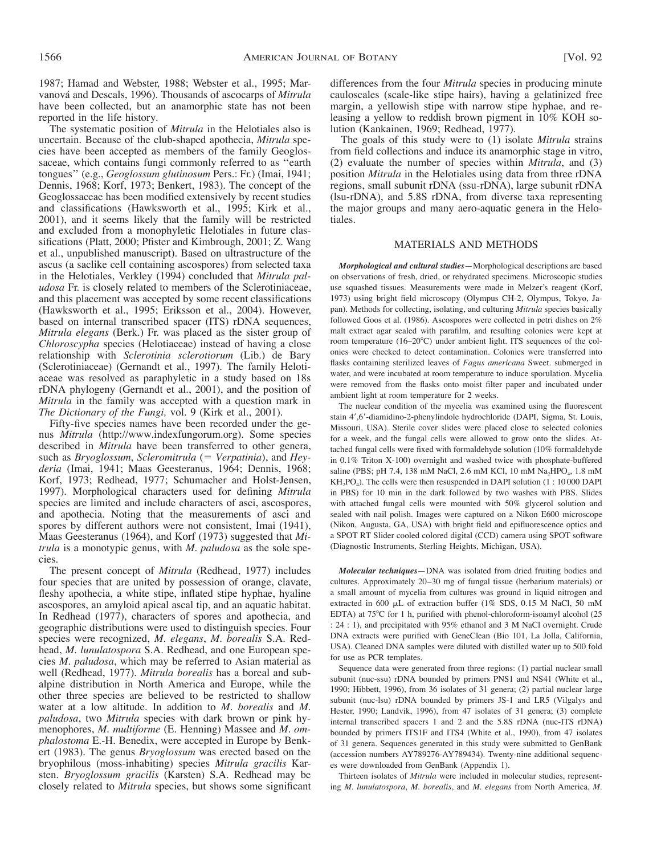1987; Hamad and Webster, 1988; Webster et al., 1995; Marvanova´ and Descals, 1996). Thousands of ascocarps of *Mitrula* have been collected, but an anamorphic state has not been reported in the life history.

The systematic position of *Mitrula* in the Helotiales also is uncertain. Because of the club-shaped apothecia, *Mitrula* species have been accepted as members of the family Geoglossaceae, which contains fungi commonly referred to as ''earth tongues'' (e.g., *Geoglossum glutinosum* Pers.: Fr.) (Imai, 1941; Dennis, 1968; Korf, 1973; Benkert, 1983). The concept of the Geoglossaceae has been modified extensively by recent studies and classifications (Hawksworth et al., 1995; Kirk et al., 2001), and it seems likely that the family will be restricted and excluded from a monophyletic Helotiales in future classifications (Platt, 2000; Pfister and Kimbrough, 2001; Z. Wang et al., unpublished manuscript). Based on ultrastructure of the ascus (a saclike cell containing ascospores) from selected taxa in the Helotiales, Verkley (1994) concluded that *Mitrula paludosa* Fr. is closely related to members of the Sclerotiniaceae, and this placement was accepted by some recent classifications (Hawksworth et al., 1995; Eriksson et al., 2004). However, based on internal transcribed spacer (ITS) rDNA sequences, *Mitrula elegans* (Berk.) Fr. was placed as the sister group of *Chloroscypha* species (Helotiaceae) instead of having a close relationship with *Sclerotinia sclerotiorum* (Lib.) de Bary (Sclerotiniaceae) (Gernandt et al., 1997). The family Helotiaceae was resolved as paraphyletic in a study based on 18s rDNA phylogeny (Gernandt et al., 2001), and the position of *Mitrula* in the family was accepted with a question mark in *The Dictionary of the Fungi,* vol. 9 (Kirk et al., 2001).

Fifty-five species names have been recorded under the genus *Mitrula* (http://www.indexfungorum.org). Some species described in *Mitrula* have been transferred to other genera, such as *Bryoglossum*, *Scleromitrula* (= *Verpatinia*), and *Heyderia* (Imai, 1941; Maas Geesteranus, 1964; Dennis, 1968; Korf, 1973; Redhead, 1977; Schumacher and Holst-Jensen, 1997). Morphological characters used for defining *Mitrula* species are limited and include characters of asci, ascospores, and apothecia. Noting that the measurements of asci and spores by different authors were not consistent, Imai (1941), Maas Geesteranus (1964), and Korf (1973) suggested that *Mitrula* is a monotypic genus, with *M. paludosa* as the sole species.

The present concept of *Mitrula* (Redhead, 1977) includes four species that are united by possession of orange, clavate, fleshy apothecia, a white stipe, inflated stipe hyphae, hyaline ascospores, an amyloid apical ascal tip, and an aquatic habitat. In Redhead (1977), characters of spores and apothecia, and geographic distributions were used to distinguish species. Four species were recognized, *M. elegans*, *M. borealis* S.A. Redhead, *M. lunulatospora* S.A. Redhead, and one European species *M. paludosa*, which may be referred to Asian material as well (Redhead, 1977). *Mitrula borealis* has a boreal and subalpine distribution in North America and Europe, while the other three species are believed to be restricted to shallow water at a low altitude. In addition to *M. borealis* and *M. paludosa*, two *Mitrula* species with dark brown or pink hymenophores, *M. multiforme* (E. Henning) Massee and *M. omphalostoma* E.-H. Benedix, were accepted in Europe by Benkert (1983). The genus *Bryoglossum* was erected based on the bryophilous (moss-inhabiting) species *Mitrula gracilis* Karsten. *Bryoglossum gracilis* (Karsten) S.A. Redhead may be closely related to *Mitrula* species, but shows some significant

differences from the four *Mitrula* species in producing minute cauloscales (scale-like stipe hairs), having a gelatinized free margin, a yellowish stipe with narrow stipe hyphae, and releasing a yellow to reddish brown pigment in 10% KOH solution (Kankainen, 1969; Redhead, 1977).

The goals of this study were to (1) isolate *Mitrula* strains from field collections and induce its anamorphic stage in vitro, (2) evaluate the number of species within *Mitrula*, and (3) position *Mitrula* in the Helotiales using data from three rDNA regions, small subunit rDNA (ssu-rDNA), large subunit rDNA (lsu-rDNA), and 5.8S rDNA, from diverse taxa representing the major groups and many aero-aquatic genera in the Helotiales.

### MATERIALS AND METHODS

*Morphological and cultural studies*—Morphological descriptions are based on observations of fresh, dried, or rehydrated specimens. Microscopic studies use squashed tissues. Measurements were made in Melzer's reagent (Korf, 1973) using bright field microscopy (Olympus CH-2, Olympus, Tokyo, Japan). Methods for collecting, isolating, and culturing *Mitrula* species basically followed Goos et al. (1986). Ascospores were collected in petri dishes on 2% malt extract agar sealed with parafilm, and resulting colonies were kept at room temperature (16–20"C) under ambient light. ITS sequences of the colonies were checked to detect contamination. Colonies were transferred into flasks containing sterilized leaves of *Fagus americana* Sweet. submerged in water, and were incubated at room temperature to induce sporulation. Mycelia were removed from the flasks onto moist filter paper and incubated under ambient light at room temperature for 2 weeks.

The nuclear condition of the mycelia was examined using the fluorescent stain 4',6'-diamidino-2-phenylindole hydrochloride (DAPI, Sigma, St. Louis, Missouri, USA). Sterile cover slides were placed close to selected colonies for a week, and the fungal cells were allowed to grow onto the slides. Attached fungal cells were fixed with formaldehyde solution (10% formaldehyde in 0.1% Triton X-100) overnight and washed twice with phosphate-buffered saline (PBS; pH 7.4, 138 mM NaCl, 2.6 mM KCl, 10 mM Na<sub>2</sub>HPO<sub>4</sub>, 1.8 mM  $KH_2PO_4$ ). The cells were then resuspended in DAPI solution (1 : 10000 DAPI in PBS) for 10 min in the dark followed by two washes with PBS. Slides with attached fungal cells were mounted with 50% glycerol solution and sealed with nail polish. Images were captured on a Nikon E600 microscope (Nikon, Augusta, GA, USA) with bright field and epifluorescence optics and a SPOT RT Slider cooled colored digital (CCD) camera using SPOT software (Diagnostic Instruments, Sterling Heights, Michigan, USA).

*Molecular techniques*—DNA was isolated from dried fruiting bodies and cultures. Approximately 20–30 mg of fungal tissue (herbarium materials) or a small amount of mycelia from cultures was ground in liquid nitrogen and extracted in 600  $\mu$ L of extraction buffer (1% SDS, 0.15 M NaCl, 50 mM EDTA) at 75"C for 1 h, purified with phenol-chloroform-isoamyl alcohol (25 : 24 : 1), and precipitated with 95% ethanol and 3 M NaCl overnight. Crude DNA extracts were purified with GeneClean (Bio 101, La Jolla, California, USA). Cleaned DNA samples were diluted with distilled water up to 500 fold for use as PCR templates.

Sequence data were generated from three regions: (1) partial nuclear small subunit (nuc-ssu) rDNA bounded by primers PNS1 and NS41 (White et al., 1990; Hibbett, 1996), from 36 isolates of 31 genera; (2) partial nuclear large subunit (nuc-lsu) rDNA bounded by primers JS-1 and LR5 (Vilgalys and Hester, 1990; Landvik, 1996), from 47 isolates of 31 genera; (3) complete internal transcribed spacers 1 and 2 and the 5.8S rDNA (nuc-ITS rDNA) bounded by primers ITS1F and ITS4 (White et al., 1990), from 47 isolates of 31 genera. Sequences generated in this study were submitted to GenBank (accession numbers AY789276-AY789434). Twenty-nine additional sequences were downloaded from GenBank (Appendix 1).

Thirteen isolates of *Mitrula* were included in molecular studies, representing *M. lunulatospora*, *M. borealis*, and *M. elegans* from North America, *M.*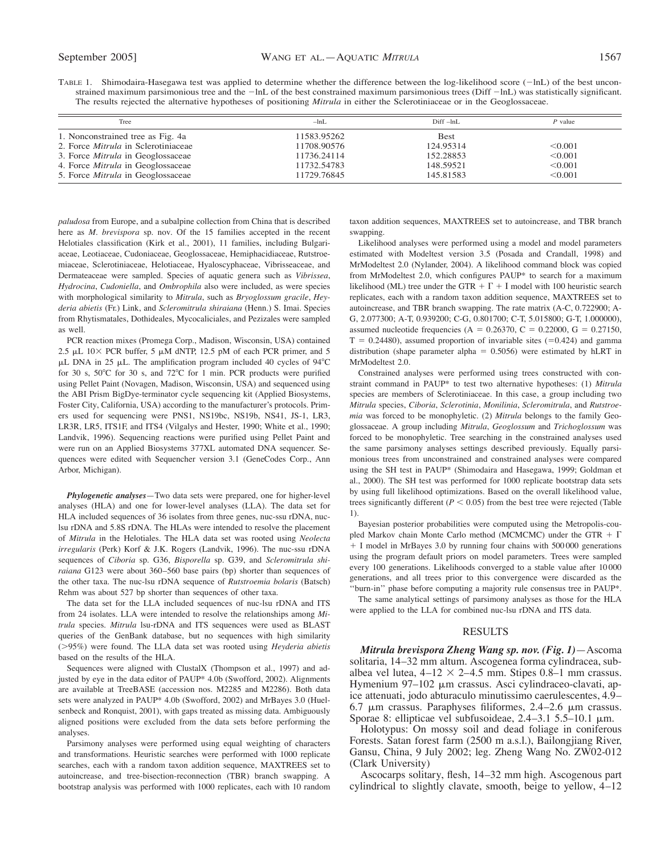| TABLE 1. Shimodaira-Hasegawa test was applied to determine whether the difference between the log-likelihood score (-lnL) of the best uncon-        |
|-----------------------------------------------------------------------------------------------------------------------------------------------------|
| strained maximum parsimonious tree and the $-$ lnL of the best constrained maximum parsimonious trees (Diff $-$ lnL) was statistically significant. |
| The results rejected the alternative hypotheses of positioning <i>Mitrula</i> in either the Sclerotiniaceae or in the Geoglossaceae.                |

| Tree                                       | $-\ln L$    | Diff -lnL   | $P$ value |
|--------------------------------------------|-------------|-------------|-----------|
| 1. Nonconstrained tree as Fig. 4a          | 11583.95262 | <b>Best</b> |           |
| 2. Force <i>Mitrula</i> in Sclerotiniaceae | 11708.90576 | 124.95314   | < 0.001   |
| 3. Force <i>Mitrula</i> in Geoglossaceae   | 11736.24114 | 152.28853   | < 0.001   |
| 4. Force <i>Mitrula</i> in Geoglossaceae   | 11732.54783 | 148.59521   | < 0.001   |
| 5. Force <i>Mitrula</i> in Geoglossaceae   | 11729.76845 | 145.81583   | < 0.001   |

*paludosa* from Europe, and a subalpine collection from China that is described here as *M. brevispora* sp. nov. Of the 15 families accepted in the recent Helotiales classification (Kirk et al., 2001), 11 families, including Bulgariaceae, Leotiaceae, Cudoniaceae, Geoglossaceae, Hemiphacidiaceae, Rutstroemiaceae, Sclerotiniaceae, Helotiaceae, Hyaloscyphaceae, Vibrisseaceae, and Dermateaceae were sampled. Species of aquatic genera such as *Vibrissea*, *Hydrocina*, *Cudoniella*, and *Ombrophila* also were included, as were species with morphological similarity to *Mitrula*, such as *Bryoglossum gracile*, *Heyderia abietis* (Fr.) Link, and *Scleromitrula shiraiana* (Henn.) S. Imai. Species from Rhytismatales, Dothideales, Mycocaliciales, and Pezizales were sampled as well.

PCR reaction mixes (Promega Corp., Madison, Wisconsin, USA) contained 2.5  $\mu$ L 10 $\times$  PCR buffer, 5  $\mu$ M dNTP, 12.5 pM of each PCR primer, and 5  $\mu$ L DNA in 25  $\mu$ L. The amplification program included 40 cycles of 94°C for 30 s, 50"C for 30 s, and 72"C for 1 min. PCR products were purified using Pellet Paint (Novagen, Madison, Wisconsin, USA) and sequenced using the ABI Prism BigDye-terminator cycle sequencing kit (Applied Biosystems, Foster City, California, USA) according to the manufacturer's protocols. Primers used for sequencing were PNS1, NS19bc, NS19b, NS41, JS-1, LR3, LR3R, LR5, ITS1F, and ITS4 (Vilgalys and Hester, 1990; White et al., 1990; Landvik, 1996). Sequencing reactions were purified using Pellet Paint and were run on an Applied Biosystems 377XL automated DNA sequencer. Sequences were edited with Sequencher version 3.1 (GeneCodes Corp., Ann Arbor, Michigan).

*Phylogenetic analyses*—Two data sets were prepared, one for higher-level analyses (HLA) and one for lower-level analyses (LLA). The data set for HLA included sequences of 36 isolates from three genes, nuc-ssu rDNA, nuclsu rDNA and 5.8S rDNA. The HLAs were intended to resolve the placement of *Mitrula* in the Helotiales. The HLA data set was rooted using *Neolecta irregularis* (Perk) Korf & J.K. Rogers (Landvik, 1996). The nuc-ssu rDNA sequences of *Ciboria* sp. G36, *Bisporella* sp. G39, and *Scleromitrula shiraiana* G123 were about 360–560 base pairs (bp) shorter than sequences of the other taxa. The nuc-lsu rDNA sequence of *Rutstroemia bolaris* (Batsch) Rehm was about 527 bp shorter than sequences of other taxa.

The data set for the LLA included sequences of nuc-lsu rDNA and ITS from 24 isolates. LLA were intended to resolve the relationships among *Mitrula* species. *Mitrula* lsu-rDNA and ITS sequences were used as BLAST queries of the GenBank database, but no sequences with high similarity ((95%) were found. The LLA data set was rooted using *Heyderia abietis* based on the results of the HLA.

Sequences were aligned with ClustalX (Thompson et al., 1997) and adjusted by eye in the data editor of PAUP\* 4.0b (Swofford, 2002). Alignments are available at TreeBASE (accession nos. M2285 and M2286). Both data sets were analyzed in PAUP\* 4.0b (Swofford, 2002) and MrBayes 3.0 (Huelsenbeck and Ronquist, 2001), with gaps treated as missing data. Ambiguously aligned positions were excluded from the data sets before performing the analyses.

Parsimony analyses were performed using equal weighting of characters and transformations. Heuristic searches were performed with 1000 replicate searches, each with a random taxon addition sequence, MAXTREES set to autoincrease, and tree-bisection-reconnection (TBR) branch swapping. A bootstrap analysis was performed with 1000 replicates, each with 10 random

taxon addition sequences, MAXTREES set to autoincrease, and TBR branch swapping.

Likelihood analyses were performed using a model and model parameters estimated with Modeltest version 3.5 (Posada and Crandall, 1998) and MrModeltest 2.0 (Nylander, 2004). A likelihood command block was copied from MrModeltest 2.0, which configures PAUP\* to search for a maximum likelihood (ML) tree under the GTR +  $\Gamma$  + I model with 100 heuristic search replicates, each with a random taxon addition sequence, MAXTREES set to autoincrease, and TBR branch swapping. The rate matrix (A-C, 0.722900; A-G, 2.077300; A-T, 0.939200; C-G, 0.801700; C-T, 5.015800; G-T, 1.000000), assumed nucleotide frequencies ( $A = 0.26370$ ,  $C = 0.22000$ ,  $G = 0.27150$ ,  $T = 0.24480$ , assumed proportion of invariable sites (=0.424) and gamma distribution (shape parameter alpha  $= 0.5056$ ) were estimated by hLRT in MrModeltest 2.0.

Constrained analyses were performed using trees constructed with constraint command in PAUP\* to test two alternative hypotheses: (1) *Mitrula* species are members of Sclerotiniaceae. In this case, a group including two *Mitrula* species, *Ciboria*, *Sclerotinia*, *Monilinia*, *Scleromitrula*, and *Rutstroemia* was forced to be monophyletic. (2) *Mitrula* belongs to the family Geoglossaceae. A group including *Mitrula*, *Geoglossum* and *Trichoglossum* was forced to be monophyletic. Tree searching in the constrained analyses used the same parsimony analyses settings described previously. Equally parsimonious trees from unconstrained and constrained analyses were compared using the SH test in PAUP\* (Shimodaira and Hasegawa, 1999; Goldman et al., 2000). The SH test was performed for 1000 replicate bootstrap data sets by using full likelihood optimizations. Based on the overall likelihood value, trees significantly different  $(P < 0.05)$  from the best tree were rejected (Table 1).

Bayesian posterior probabilities were computed using the Metropolis-coupled Markov chain Monte Carlo method (MCMCMC) under the GTR +  $\Gamma$ + I model in MrBayes 3.0 by running four chains with 500 000 generations using the program default priors on model parameters. Trees were sampled every 100 generations. Likelihoods converged to a stable value after 10 000 generations, and all trees prior to this convergence were discarded as the ''burn-in'' phase before computing a majority rule consensus tree in PAUP\*.

The same analytical settings of parsimony analyses as those for the HLA were applied to the LLA for combined nuc-lsu rDNA and ITS data.

#### RESULTS

*Mitrula brevispora Zheng Wang sp. nov. (Fig. 1)*—Ascoma solitaria, 14–32 mm altum. Ascogenea forma cylindracea, subalbea vel lutea,  $4-12 \times 2-4.5$  mm. Stipes 0.8–1 mm crassus. Hymenium 97–102  $\mu$ m crassus. Asci cylindraceo-clavati, apice attenuati, jodo abturaculo minutissimo caerulescentes, 4.9– 6.7  $\mu$ m crassus. Paraphyses filiformes, 2.4–2.6  $\mu$ m crassus. Sporae 8: ellipticae vel subfusoideae,  $2.4-3.1$  5.5-10.1  $\mu$ m.

Holotypus: On mossy soil and dead foliage in coniferous Forests. Satan forest farm (2500 m a.s.l.), Bailongjiang River, Gansu, China, 9 July 2002; leg. Zheng Wang No. ZW02-012 (Clark University)

Ascocarps solitary, flesh, 14–32 mm high. Ascogenous part cylindrical to slightly clavate, smooth, beige to yellow, 4–12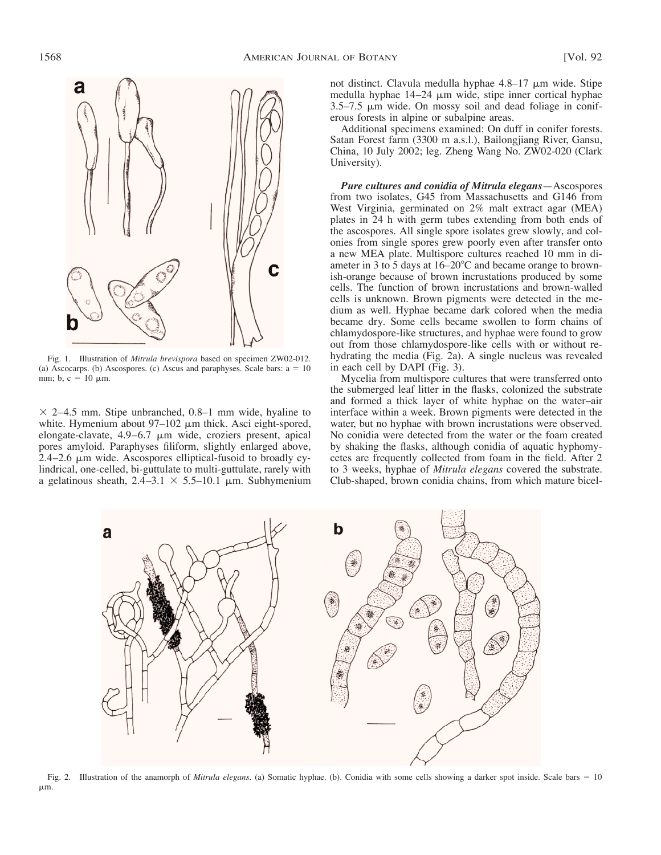

Fig. 1. Illustration of *Mitrula brevispora* based on specimen ZW02-012. (a) Ascocarps. (b) Ascospores. (c) Ascus and paraphyses. Scale bars:  $a = 10$ mm; b,  $c = 10 \mu m$ .

 $\times$  2–4.5 mm. Stipe unbranched, 0.8–1 mm wide, hyaline to white. Hymenium about  $97-102 \mu m$  thick. Asci eight-spored, elongate-clavate,  $4.9-6.7 \mu m$  wide, croziers present, apical pores amyloid. Paraphyses filiform, slightly enlarged above, 2.4–2.6  $\mu$ m wide. Ascospores elliptical-fusoid to broadly cylindrical, one-celled, bi-guttulate to multi-guttulate, rarely with a gelatinous sheath,  $2.4-3.1 \times 5.5-10.1 \mu m$ . Subhymenium not distinct. Clavula medulla hyphae  $4.8-17$   $\mu$ m wide. Stipe medulla hyphae  $14-24 \mu m$  wide, stipe inner cortical hyphae  $3.5-7.5 \mu m$  wide. On mossy soil and dead foliage in coniferous forests in alpine or subalpine areas.

Additional specimens examined: On duff in conifer forests. Satan Forest farm (3300 m a.s.l.), Bailongjiang River, Gansu, China, 10 July 2002; leg. Zheng Wang No. ZW02-020 (Clark University).

*Pure cultures and conidia of Mitrula elegans*—Ascospores from two isolates, G45 from Massachusetts and G146 from West Virginia, germinated on 2% malt extract agar (MEA) plates in 24 h with germ tubes extending from both ends of the ascospores. All single spore isolates grew slowly, and colonies from single spores grew poorly even after transfer onto a new MEA plate. Multispore cultures reached 10 mm in diameter in 3 to 5 days at 16–20"C and became orange to brownish-orange because of brown incrustations produced by some cells. The function of brown incrustations and brown-walled cells is unknown. Brown pigments were detected in the medium as well. Hyphae became dark colored when the media became dry. Some cells became swollen to form chains of chlamydospore-like structures, and hyphae were found to grow out from those chlamydospore-like cells with or without rehydrating the media (Fig. 2a). A single nucleus was revealed in each cell by DAPI (Fig. 3).

Mycelia from multispore cultures that were transferred onto the submerged leaf litter in the flasks, colonized the substrate and formed a thick layer of white hyphae on the water–air interface within a week. Brown pigments were detected in the water, but no hyphae with brown incrustations were observed. No conidia were detected from the water or the foam created by shaking the flasks, although conidia of aquatic hyphomycetes are frequently collected from foam in the field. After 2 to 3 weeks, hyphae of *Mitrula elegans* covered the substrate. Club-shaped, brown conidia chains, from which mature bicel-



Fig. 2. Illustration of the anamorph of *Mitrula elegans*. (a) Somatic hyphae. (b). Conidia with some cells showing a darker spot inside. Scale bars = 10  $um.$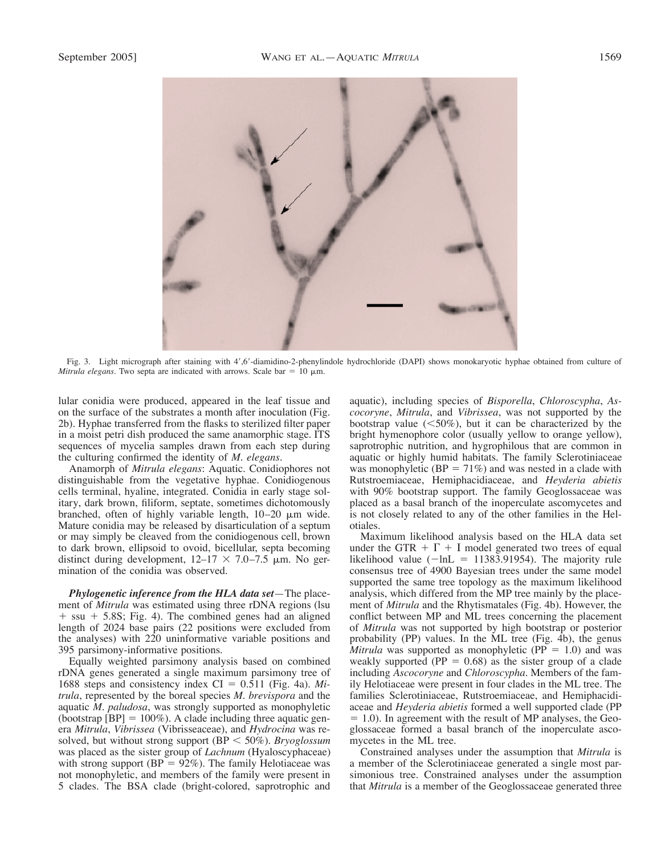

Fig. 3. Light micrograph after staining with 4',6'-diamidino-2-phenylindole hydrochloride (DAPI) shows monokaryotic hyphae obtained from culture of *Mitrula elegans*. Two septa are indicated with arrows. Scale bar = 10  $\mu$ m.

lular conidia were produced, appeared in the leaf tissue and on the surface of the substrates a month after inoculation (Fig. 2b). Hyphae transferred from the flasks to sterilized filter paper in a moist petri dish produced the same anamorphic stage. ITS sequences of mycelia samples drawn from each step during the culturing confirmed the identity of *M. elegans*.

Anamorph of *Mitrula elegans*: Aquatic. Conidiophores not distinguishable from the vegetative hyphae. Conidiogenous cells terminal, hyaline, integrated. Conidia in early stage solitary, dark brown, filiform, septate, sometimes dichotomously branched, often of highly variable length,  $10-20 \mu m$  wide. Mature conidia may be released by disarticulation of a septum or may simply be cleaved from the conidiogenous cell, brown to dark brown, ellipsoid to ovoid, bicellular, septa becoming distinct during development,  $12-17 \times 7.0-7.5$  µm. No germination of the conidia was observed.

*Phylogenetic inference from the HLA data set*—The placement of *Mitrula* was estimated using three rDNA regions (lsu  $+$  ssu  $+$  5.8S; Fig. 4). The combined genes had an aligned length of 2024 base pairs (22 positions were excluded from the analyses) with 220 uninformative variable positions and 395 parsimony-informative positions.

Equally weighted parsimony analysis based on combined rDNA genes generated a single maximum parsimony tree of 1688 steps and consistency index  $CI = 0.511$  (Fig. 4a). *Mitrula*, represented by the boreal species *M. brevispora* and the aquatic *M. paludosa*, was strongly supported as monophyletic (bootstrap  $[BP] = 100\%$ ). A clade including three aquatic genera *Mitrula*, *Vibrissea* (Vibrisseaceae), and *Hydrocina* was resolved, but without strong support (BP & 50%). *Bryoglossum* was placed as the sister group of *Lachnum* (Hyaloscyphaceae) with strong support ( $BP = 92\%$ ). The family Helotiaceae was not monophyletic, and members of the family were present in 5 clades. The BSA clade (bright-colored, saprotrophic and

aquatic), including species of *Bisporella*, *Chloroscypha*, *Ascocoryne*, *Mitrula*, and *Vibrissea*, was not supported by the bootstrap value  $(<50\%)$ , but it can be characterized by the bright hymenophore color (usually yellow to orange yellow), saprotrophic nutrition, and hygrophilous that are common in aquatic or highly humid habitats. The family Sclerotiniaceae was monophyletic ( $BP = 71\%$ ) and was nested in a clade with Rutstroemiaceae, Hemiphacidiaceae, and *Heyderia abietis* with 90% bootstrap support. The family Geoglossaceae was placed as a basal branch of the inoperculate ascomycetes and is not closely related to any of the other families in the Helotiales.

Maximum likelihood analysis based on the HLA data set under the GTR +  $\Gamma$  + I model generated two trees of equal likelihood value  $(-\ln L = 11383.91954)$ . The majority rule consensus tree of 4900 Bayesian trees under the same model supported the same tree topology as the maximum likelihood analysis, which differed from the MP tree mainly by the placement of *Mitrula* and the Rhytismatales (Fig. 4b). However, the conflict between MP and ML trees concerning the placement of *Mitrula* was not supported by high bootstrap or posterior probability (PP) values. In the ML tree (Fig. 4b), the genus *Mitrula* was supported as monophyletic ( $PP = 1.0$ ) and was weakly supported ( $PP = 0.68$ ) as the sister group of a clade including *Ascocoryne* and *Chloroscypha*. Members of the family Helotiaceae were present in four clades in the ML tree. The families Sclerotiniaceae, Rutstroemiaceae, and Hemiphacidiaceae and *Heyderia abietis* formed a well supported clade (PP  $= 1.0$ ). In agreement with the result of MP analyses, the Geoglossaceae formed a basal branch of the inoperculate ascomycetes in the ML tree.

Constrained analyses under the assumption that *Mitrula* is a member of the Sclerotiniaceae generated a single most parsimonious tree. Constrained analyses under the assumption that *Mitrula* is a member of the Geoglossaceae generated three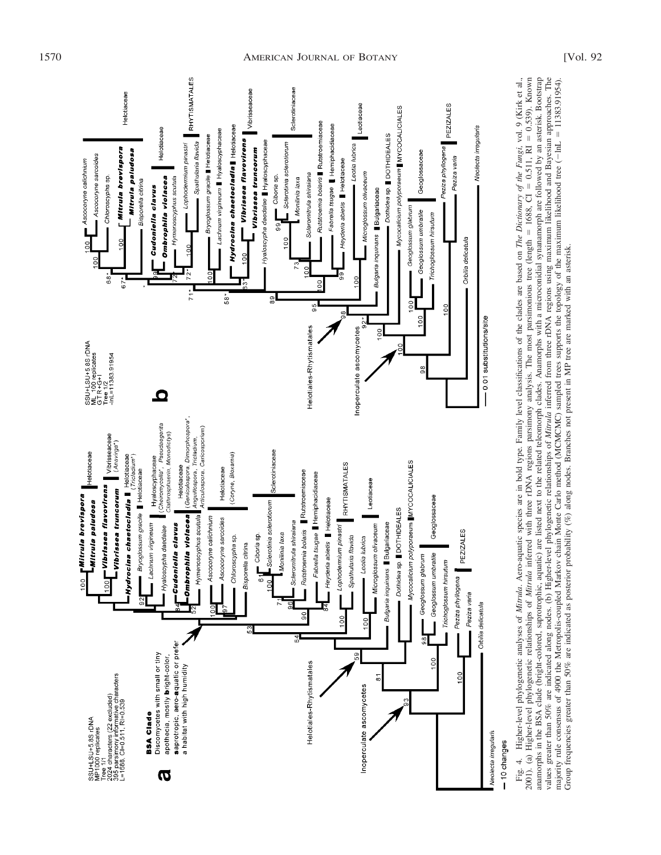

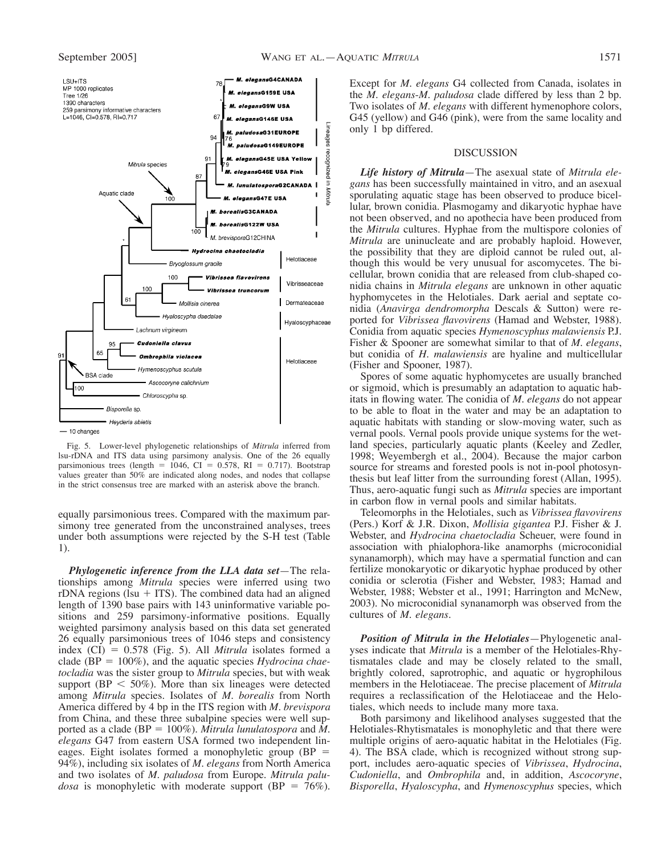

Fig. 5. Lower-level phylogenetic relationships of *Mitrula* inferred from lsu-rDNA and ITS data using parsimony analysis. One of the 26 equally parsimonious trees (length  $= 1046$ , CI  $= 0.578$ , RI  $= 0.717$ ). Bootstrap values greater than 50% are indicated along nodes, and nodes that collapse in the strict consensus tree are marked with an asterisk above the branch.

equally parsimonious trees. Compared with the maximum parsimony tree generated from the unconstrained analyses, trees under both assumptions were rejected by the S-H test (Table 1).

*Phylogenetic inference from the LLA data set*—The relationships among *Mitrula* species were inferred using two rDNA regions ( $\overline{I}$ su + ITS). The combined data had an aligned length of 1390 base pairs with 143 uninformative variable positions and 259 parsimony-informative positions. Equally weighted parsimony analysis based on this data set generated 26 equally parsimonious trees of 1046 steps and consistency index  $(CI) = 0.578$  (Fig. 5). All *Mitrula* isolates formed a clade (BP ! 100%), and the aquatic species *Hydrocina chaetocladia* was the sister group to *Mitrula* species, but with weak support ( $BP < 50\%$ ). More than six lineages were detected among *Mitrula* species. Isolates of *M. borealis* from North America differed by 4 bp in the ITS region with *M. brevispora* from China, and these three subalpine species were well supported as a clade (BP =  $100\%$ ). *Mitrula lunulatospora* and  $\overline{M}$ . *elegans* G47 from eastern USA formed two independent lineages. Eight isolates formed a monophyletic group  $(BP =$ 94%), including six isolates of *M. elegans* from North America and two isolates of *M. paludosa* from Europe. *Mitrula paludosa* is monophyletic with moderate support (BP  $= 76\%$ ).

Except for *M. elegans* G4 collected from Canada, isolates in the *M. elegans*-*M. paludosa* clade differed by less than 2 bp. Two isolates of *M. elegans* with different hymenophore colors, G45 (yellow) and G46 (pink), were from the same locality and only 1 bp differed.

## DISCUSSION

*Life history of Mitrula*—The asexual state of *Mitrula elegans* has been successfully maintained in vitro, and an asexual sporulating aquatic stage has been observed to produce bicellular, brown conidia. Plasmogamy and dikaryotic hyphae have not been observed, and no apothecia have been produced from the *Mitrula* cultures. Hyphae from the multispore colonies of *Mitrula* are uninucleate and are probably haploid. However, the possibility that they are diploid cannot be ruled out, although this would be very unusual for ascomycetes. The bicellular, brown conidia that are released from club-shaped conidia chains in *Mitrula elegans* are unknown in other aquatic hyphomycetes in the Helotiales. Dark aerial and septate conidia (*Anavirga dendromorpha* Descals & Sutton) were reported for *Vibrissea flavovirens* (Hamad and Webster, 1988). Conidia from aquatic species *Hymenoscyphus malawiensis* P.J. Fisher & Spooner are somewhat similar to that of *M. elegans*, but conidia of *H. malawiensis* are hyaline and multicellular (Fisher and Spooner, 1987).

Spores of some aquatic hyphomycetes are usually branched or sigmoid, which is presumably an adaptation to aquatic habitats in flowing water. The conidia of *M. elegans* do not appear to be able to float in the water and may be an adaptation to aquatic habitats with standing or slow-moving water, such as vernal pools. Vernal pools provide unique systems for the wetland species, particularly aquatic plants (Keeley and Zedler, 1998; Weyembergh et al., 2004). Because the major carbon source for streams and forested pools is not in-pool photosynthesis but leaf litter from the surrounding forest (Allan, 1995). Thus, aero-aquatic fungi such as *Mitrula* species are important in carbon flow in vernal pools and similar habitats.

Teleomorphs in the Helotiales, such as *Vibrissea flavovirens* (Pers.) Korf & J.R. Dixon, *Mollisia gigantea* P.J. Fisher & J. Webster, and *Hydrocina chaetocladia* Scheuer, were found in association with phialophora-like anamorphs (microconidial synanamorph), which may have a spermatial function and can fertilize monokaryotic or dikaryotic hyphae produced by other conidia or sclerotia (Fisher and Webster, 1983; Hamad and Webster, 1988; Webster et al., 1991; Harrington and McNew, 2003). No microconidial synanamorph was observed from the cultures of *M. elegans*.

*Position of Mitrula in the Helotiales*—Phylogenetic analyses indicate that *Mitrula* is a member of the Helotiales-Rhytismatales clade and may be closely related to the small, brightly colored, saprotrophic, and aquatic or hygrophilous members in the Helotiaceae. The precise placement of *Mitrula* requires a reclassification of the Helotiaceae and the Helotiales, which needs to include many more taxa.

Both parsimony and likelihood analyses suggested that the Helotiales-Rhytismatales is monophyletic and that there were multiple origins of aero-aquatic habitat in the Helotiales (Fig. 4). The BSA clade, which is recognized without strong support, includes aero-aquatic species of *Vibrissea*, *Hydrocina*, *Cudoniella*, and *Ombrophila* and, in addition, *Ascocoryne*, *Bisporella*, *Hyaloscypha*, and *Hymenoscyphus* species, which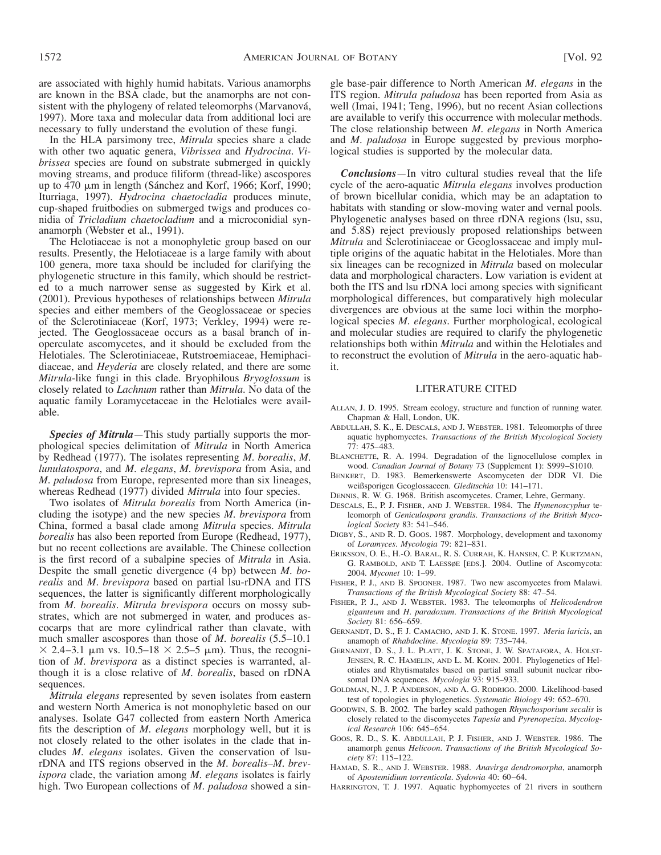In the HLA parsimony tree, *Mitrula* species share a clade with other two aquatic genera, *Vibrissea* and *Hydrocina*. *Vibrissea* species are found on substrate submerged in quickly moving streams, and produce filiform (thread-like) ascospores up to  $\overline{470}$   $\mu$ m in length (Sánchez and Korf, 1966; Korf, 1990; Iturriaga, 1997). *Hydrocina chaetocladia* produces minute, cup-shaped fruitbodies on submerged twigs and produces conidia of *Tricladium chaetocladium* and a microconidial synanamorph (Webster et al., 1991).

The Helotiaceae is not a monophyletic group based on our results. Presently, the Helotiaceae is a large family with about 100 genera, more taxa should be included for clarifying the phylogenetic structure in this family, which should be restricted to a much narrower sense as suggested by Kirk et al. (2001). Previous hypotheses of relationships between *Mitrula* species and either members of the Geoglossaceae or species of the Sclerotiniaceae (Korf, 1973; Verkley, 1994) were rejected. The Geoglossaceae occurs as a basal branch of inoperculate ascomycetes, and it should be excluded from the Helotiales. The Sclerotiniaceae, Rutstroemiaceae, Hemiphacidiaceae, and *Heyderia* are closely related, and there are some *Mitrula*-like fungi in this clade. Bryophilous *Bryoglossum* is closely related to *Lachnum* rather than *Mitrula*. No data of the aquatic family Loramycetaceae in the Helotiales were available.

*Species of Mitrula*—This study partially supports the morphological species delimitation of *Mitrula* in North America by Redhead (1977). The isolates representing *M. borealis*, *M. lunulatospora*, and *M. elegans*, *M. brevispora* from Asia, and *M. paludosa* from Europe, represented more than six lineages, whereas Redhead (1977) divided *Mitrula* into four species.

Two isolates of *Mitrula borealis* from North America (including the isotype) and the new species *M. brevispora* from China, formed a basal clade among *Mitrula* species. *Mitrula borealis* has also been reported from Europe (Redhead, 1977), but no recent collections are available. The Chinese collection is the first record of a subalpine species of *Mitrula* in Asia. Despite the small genetic divergence (4 bp) between *M. borealis* and *M. brevispora* based on partial lsu-rDNA and ITS sequences, the latter is significantly different morphologically from *M. borealis*. *Mitrula brevispora* occurs on mossy substrates, which are not submerged in water, and produces ascocarps that are more cylindrical rather than clavate, with much smaller ascospores than those of *M. borealis* (5.5–10.1  $\times$  2.4–3.1  $\mu$ m vs. 10.5–18  $\times$  2.5–5  $\mu$ m). Thus, the recognition of *M. brevispora* as a distinct species is warranted, although it is a close relative of *M. borealis*, based on rDNA sequences.

*Mitrula elegans* represented by seven isolates from eastern and western North America is not monophyletic based on our analyses. Isolate G47 collected from eastern North America fits the description of *M. elegans* morphology well, but it is not closely related to the other isolates in the clade that includes *M. elegans* isolates. Given the conservation of lsurDNA and ITS regions observed in the *M. borealis*–*M. brevispora* clade, the variation among *M. elegans* isolates is fairly high. Two European collections of *M. paludosa* showed a single base-pair difference to North American *M. elegans* in the ITS region. *Mitrula paludosa* has been reported from Asia as well (Imai, 1941; Teng, 1996), but no recent Asian collections are available to verify this occurrence with molecular methods. The close relationship between *M. elegans* in North America and *M. paludosa* in Europe suggested by previous morphological studies is supported by the molecular data.

*Conclusions*—In vitro cultural studies reveal that the life cycle of the aero-aquatic *Mitrula elegans* involves production of brown bicellular conidia, which may be an adaptation to habitats with standing or slow-moving water and vernal pools. Phylogenetic analyses based on three rDNA regions (lsu, ssu, and 5.8S) reject previously proposed relationships between *Mitrula* and Sclerotiniaceae or Geoglossaceae and imply multiple origins of the aquatic habitat in the Helotiales. More than six lineages can be recognized in *Mitrula* based on molecular data and morphological characters. Low variation is evident at both the ITS and lsu rDNA loci among species with significant morphological differences, but comparatively high molecular divergences are obvious at the same loci within the morphological species *M. elegans*. Further morphological, ecological and molecular studies are required to clarify the phylogenetic relationships both within *Mitrula* and within the Helotiales and to reconstruct the evolution of *Mitrula* in the aero-aquatic habit.

#### LITERATURE CITED

- ALLAN, J. D. 1995. Stream ecology, structure and function of running water. Chapman & Hall, London, UK.
- ABDULLAH, S. K., E. DESCALS, AND J. WEBSTER. 1981. Teleomorphs of three aquatic hyphomycetes. *Transactions of the British Mycological Society* 77: 475–483.
- BLANCHETTE, R. A. 1994. Degradation of the lignocellulose complex in wood. *Canadian Journal of Botany* 73 (Supplement 1): S999–S1010.
- BENKERT, D. 1983. Bemerkenswerte Ascomyceten der DDR VI. Die weißsporigen Geoglossaceen. *Gleditschia* 10: 141–171.
- DENNIS, R. W. G. 1968. British ascomycetes. Cramer, Lehre, Germany.
- DESCALS, E., P. J. FISHER, AND J. WEBSTER. 1984. The *Hymenoscyphus* teleomorph of *Geniculospora grandis*. *Transactions of the British Mycological Society* 83: 541–546.
- DIGBY, S., AND R. D. GOOS. 1987. Morphology, development and taxonomy of *Loramyces*. *Mycologia* 79: 821–831.
- ERIKSSON, O. E., H.-O. BARAL, R. S. CURRAH, K. HANSEN, C. P. KURTZMAN, G. RAMBOLD, AND T. LAESSøE [EDS.]. 2004. Outline of Ascomycota: 2004. *Myconet* 10: 1–99.
- FISHER, P. J., AND B. SPOONER. 1987. Two new ascomycetes from Malawi. *Transactions of the British Mycological Society* 88: 47–54.
- FISHER, P. J., AND J. WEBSTER. 1983. The teleomorphs of *Helicodendron giganteum* and *H. paradoxum*. *Transactions of the British Mycological Society* 81: 656–659.
- GERNANDT, D. S., F. J. CAMACHO, AND J. K. STONE. 1997. *Meria laricis*, an anamoph of *Rhabdocline*. *Mycologia* 89: 735–744.
- GERNANDT, D. S., J. L. PLATT, J. K. STONE, J. W. SPATAFORA, A. HOLST-JENSEN, R. C. HAMELIN, AND L. M. KOHN. 2001. Phylogenetics of Helotiales and Rhytismatales based on partial small subunit nuclear ribosomal DNA sequences. *Mycologia* 93: 915–933.
- GOLDMAN, N., J. P. ANDERSON, AND A. G. RODRIGO. 2000. Likelihood-based test of topologies in phylogenetics. *Systematic Biology* 49: 652–670.
- GOODWIN, S. B. 2002. The barley scald pathogen *Rhynchosporium secalis* is closely related to the discomycetes *Tapesia* and *Pyrenopeziza*. *Mycological Research* 106: 645–654.
- GOOS, R. D., S. K. ABDULLAH, P. J. FISHER, AND J. WEBSTER. 1986. The anamorph genus *Helicoon*. *Transactions of the British Mycological Society* 87: 115–122.
- HAMAD, S. R., AND J. WEBSTER. 1988. *Anavirga dendromorpha*, anamorph of *Apostemidium torrenticola*. *Sydowia* 40: 60–64.
- HARRINGTON, T. J. 1997. Aquatic hyphomycetes of 21 rivers in southern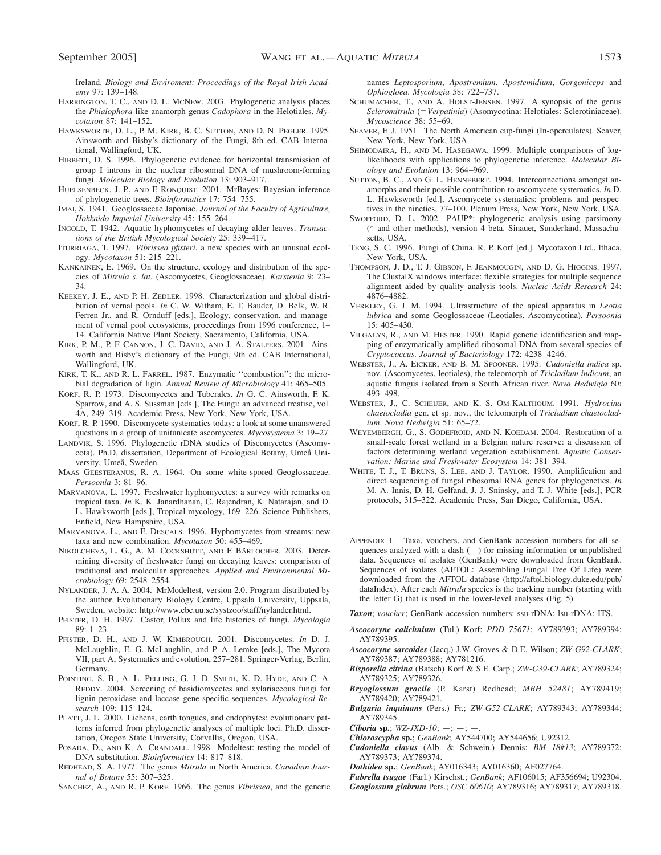Ireland. *Biology and Enviroment: Proceedings of the Royal Irish Academy* 97: 139–148.

- HARRINGTON, T. C., AND D. L. MCNEW. 2003. Phylogenetic analysis places the *Phialophora*-like anamorph genus *Cadophora* in the Helotiales. *Mycotaxon* 87: 141–152.
- HAWKSWORTH, D. L., P. M. KIRK, B. C. SUTTON, AND D. N. PEGLER. 1995. Ainsworth and Bisby's dictionary of the Fungi, 8th ed. CAB International, Wallingford, UK.
- HIBBETT, D. S. 1996. Phylogenetic evidence for horizontal transmission of group I introns in the nuclear ribosomal DNA of mushroom-forming fungi. *Molecular Biology and Evolution* 13: 903–917.
- HUELSENBECK, J. P., AND F. RONQUIST. 2001. MrBayes: Bayesian inference of phylogenetic trees. *Bioinformatics* 17: 754–755.
- IMAI, S. 1941. Geoglossaceae Japoniae. *Journal of the Faculty of Agriculture, Hokkaido Imperial University* 45: 155–264.
- INGOLD, T. 1942. Aquatic hyphomycetes of decaying alder leaves. *Transactions of the British Mycological Society* 25: 339–417.
- ITURRIAGA, T. 1997. *Vibrissea pfisteri*, a new species with an unusual ecology. *Mycotaxon* 51: 215–221.
- KANKAINEN, E. 1969. On the structure, ecology and distribution of the species of *Mitrula s. lat*. (Ascomycetes, Geoglossaceae). *Karstenia* 9: 23– 34.
- KEEKEY, J. E., AND P. H. ZEDLER. 1998. Characterization and global distribution of vernal pools. *In* C. W. Witham, E. T. Bauder, D. Belk, W. R. Ferren Jr., and R. Ornduff [eds.], Ecology, conservation, and management of vernal pool ecosystems, proceedings from 1996 conference, 1– 14. California Native Plant Society, Sacramento, California, USA.
- KIRK, P. M., P. F. CANNON, J. C. DAVID, AND J. A. STALPERS. 2001. Ainsworth and Bisby's dictionary of the Fungi, 9th ed. CAB International, Wallingford, UK.
- KIRK, T. K., AND R. L. FARREL. 1987. Enzymatic ''combustion'': the microbial degradation of ligin. *Annual Review of Microbiology* 41: 465–505.
- KORF, R. P. 1973. Discomycetes and Tuberales. *In* G. C. Ainsworth, F. K. Sparrow, and A. S. Sussman [eds.], The Fungi: an advanced treatise, vol. 4A, 249–319. Academic Press, New York, New York, USA.
- KORF, R. P. 1990. Discomycete systematics today: a look at some unanswered questions in a group of unitunicate ascomycetes. *Mycosystema* 3: 19–27.
- LANDVIK, S. 1996. Phylogenetic rDNA studies of Discomycetes (Ascomycota). Ph.D. dissertation, Department of Ecological Botany, Umeå University, Umeå, Sweden.
- MAAS GEESTERANUS, R. A. 1964. On some white-spored Geoglossaceae. *Persoonia* 3: 81–96.
- MARVANOVA, L. 1997. Freshwater hyphomycetes: a survey with remarks on tropical taxa. *In* K. K. Janardhanan, C. Rajendran, K. Natarajan, and D. L. Hawksworth [eds.], Tropical mycology, 169–226. Science Publishers, Enfield, New Hampshire, USA.
- MARVANOVA, L., AND E. DESCALS. 1996. Hyphomycetes from streams: new taxa and new combination. *Mycotaxon* 50: 455–469.
- NIKOLCHEVA, L. G., A. M. COCKSHUTT, AND F. BÄRLOCHER. 2003. Determining diversity of freshwater fungi on decaying leaves: comparison of traditional and molecular approaches. *Applied and Environmental Microbiology* 69: 2548–2554.
- NYLANDER, J. A. A. 2004. MrModeltest, version 2.0. Program distributed by the author. Evolutionary Biology Centre, Uppsala University, Uppsala, Sweden, website: http://www.ebc.uu.se/systzoo/staff/nylander.html.
- PFISTER, D. H. 1997. Castor, Pollux and life histories of fungi. *Mycologia* 89: 1–23.
- PFISTER, D. H., AND J. W. KIMBROUGH. 2001. Discomycetes. *In* D. J. McLaughlin, E. G. McLaughlin, and P. A. Lemke [eds.], The Mycota VII, part A, Systematics and evolution, 257–281. Springer-Verlag, Berlin, Germany.
- POINTING, S. B., A. L. PELLING, G. J. D. SMITH, K. D. HYDE, AND C. A. REDDY. 2004. Screening of basidiomycetes and xylariaceous fungi for lignin peroxidase and laccase gene-specific sequences. *Mycological Research* 109: 115–124.
- PLATT, J. L. 2000. Lichens, earth tongues, and endophytes: evolutionary patterns inferred from phylogenetic analyses of multiple loci. Ph.D. dissertation, Oregon State University, Corvallis, Oregon, USA.
- POSADA, D., AND K. A. CRANDALL. 1998. Modeltest: testing the model of DNA substitution. *Bioinformatics* 14: 817–818.
- REDHEAD, S. A. 1977. The genus *Mitrula* in North America. *Canadian Journal of Botany* 55: 307–325.
- SANCHEZ, A., AND R. P. KORF. 1966. The genus *Vibrissea*, and the generic

names *Leptosporium*, *Apostremium*, *Apostemidium*, *Gorgoniceps* and *Ophiogloea*. *Mycologia* 58: 722–737.

- SCHUMACHER, T., AND A. HOLST-JENSEN. 1997. A synopsis of the genus *Scleromitrula* (= *Verpatinia*) (Asomycotina: Helotiales: Sclerotiniaceae). *Mycoscience* 38: 55–69.
- SEAVER, F. J. 1951. The North American cup-fungi (In-operculates). Seaver, New York, New York, USA.
- SHIMODAIRA, H., AND M. HASEGAWA. 1999. Multiple comparisons of loglikelihoods with applications to phylogenetic inference. *Molecular Biology and Evolution* 13: 964–969.
- SUTTON, B. C., AND G. L. HENNEBERT. 1994. Interconnections amongst anamorphs and their possible contribution to ascomycete systematics. *In* D. L. Hawksworth [ed.], Ascomycete systematics: problems and perspectives in the nineties, 77–100. Plenum Press, New York, New York, USA.
- SWOFFORD, D. L. 2002. PAUP\*: phylogenetic analysis using parsimony (\* and other methods), version 4 beta. Sinauer, Sunderland, Massachusetts, USA.
- TENG, S. C. 1996. Fungi of China. R. P. Korf [ed.]. Mycotaxon Ltd., Ithaca, New York, USA.
- THOMPSON, J. D., T. J. GIBSON, F. JEANMOUGIN, AND D. G. HIGGINS. 1997. The ClustalX windows interface: flexible strategies for multiple sequence alignment aided by quality analysis tools. *Nucleic Acids Research* 24: 4876–4882.
- VERKLEY, G. J. M. 1994. Ultrastructure of the apical apparatus in *Leotia lubrica* and some Geoglossaceae (Leotiales, Ascomycotina). *Persoonia* 15: 405–430.
- VILGALYS, R., AND M. HESTER. 1990. Rapid genetic identification and mapping of enzymatically amplified ribosomal DNA from several species of *Cryptococcus*. *Journal of Bacteriology* 172: 4238–4246.
- WEBSTER, J., A. EICKER, AND B. M. SPOONER. 1995. *Cudoniella indica* sp. nov. (Ascomycetes, leotiales), the teleomorph of *Tricladium indicum*, an aquatic fungus isolated from a South African river. *Nova Hedwigia* 60: 493–498.
- WEBSTER, J., C. SCHEUER, AND K. S. OM-KALTHOUM. 1991. *Hydrocina chaetocladia* gen. et sp. nov., the teleomorph of *Tricladium chaetocladium*. *Nova Hedwigia* 51: 65–72.
- WEYEMBERGH, G., S. GODEFROID, AND N. KOEDAM. 2004. Restoration of a small-scale forest wetland in a Belgian nature reserve: a discussion of factors determining wetland vegetation establishment. *Aquatic Conservation: Marine and Freshwater Ecosystem* 14: 381–394.
- WHITE, T. J., T. BRUNS, S. LEE, AND J. TAYLOR. 1990. Amplification and direct sequencing of fungal ribosomal RNA genes for phylogenetics. *In* M. A. Innis, D. H. Gelfand, J. J. Sninsky, and T. J. White [eds.], PCR protocols, 315–322. Academic Press, San Diego, California, USA.
- APPENDIX 1. Taxa, vouchers, and GenBank accession numbers for all sequences analyzed with a dash  $(-)$  for missing information or unpublished data. Sequences of isolates (GenBank) were downloaded from GenBank. Sequences of isolates (AFTOL: Assembling Fungal Tree Of Life) were downloaded from the AFTOL database (http://aftol.biology.duke.edu/pub/ dataIndex). After each *Mitrula* species is the tracking number (starting with the letter G) that is used in the lower-level analyses (Fig. 5).

*Taxon*; *voucher*; GenBank accession numbers: ssu-rDNA; lsu-rDNA; ITS.

- *Ascocoryne calichnium* (Tul.) Korf; *PDD 75671*; AY789393; AY789394; AY789395.
- *Ascocoryne sarcoides* (Jacq.) J.W. Groves & D.E. Wilson; *ZW-G92-CLARK*; AY789387; AY789388; AY781216.
- *Bisporella citrina* (Batsch) Korf & S.E. Carp.; *ZW-G39-CLARK*; AY789324; AY789325; AY789326.
- *Bryoglossum gracile* (P. Karst) Redhead; *MBH 52481*; AY789419; AY789420; AY789421.
- *Bulgaria inquinans* (Pers.) Fr.; *ZW-G52-CLARK*; AY789343; AY789344; AY789345.
- *Ciboria* **sp.**; *WZ-JXD-10*; —; —; —.
- *Chloroscypha* **sp.**; *GenBank*; AY544700; AY544656; U92312.
- *Cudoniella clavus* (Alb. & Schwein.) Dennis; *BM 18#13*; AY789372; AY789373; AY789374.
- *Dothidea* **sp.**; *GenBank*; AY016343; AY016360; AF027764.
- *Fabrella tsugae* (Farl.) Kirschst.; *GenBank*; AF106015; AF356694; U92304.
- *Geoglossum glabrum* Pers.; *OSC 60610*; AY789316; AY789317; AY789318.